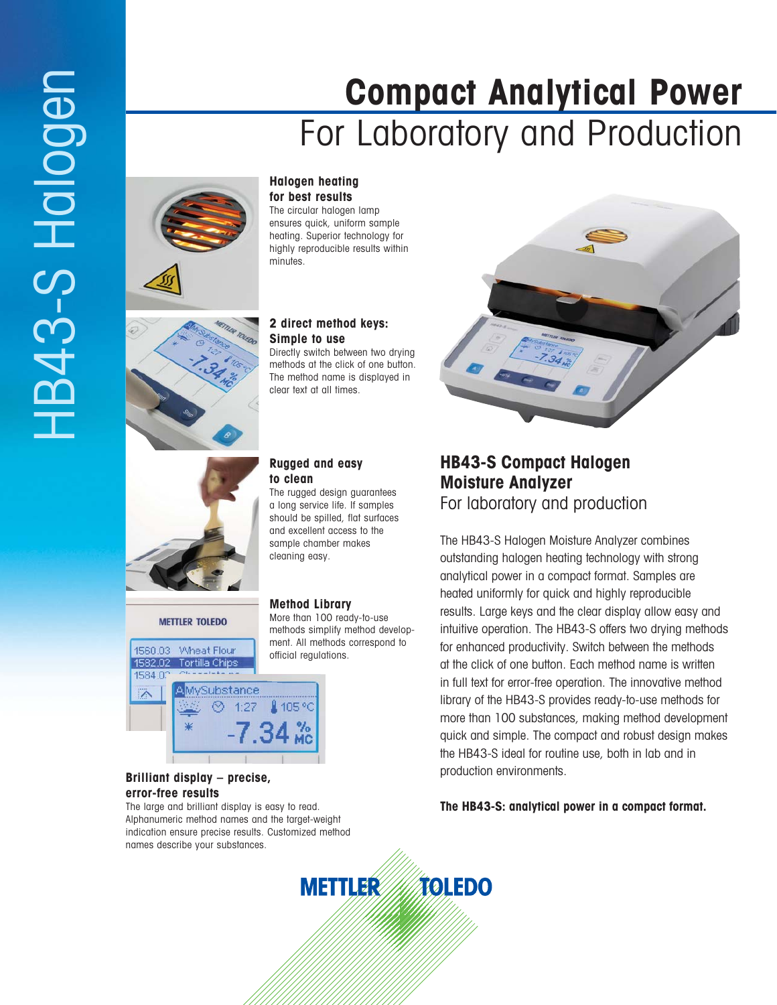# **Compact Analytical Power** For Laboratory and Production



HB43-S Halogen

IB43-S Halogen

#### **Halogen heating for best results**

The circular halogen lamp ensures quick, uniform sample heating. Superior technology for highly reproducible results within minutes.



#### **2 direct method keys: Simple to use**

Directly switch between two drying methods at the click of one button. The method name is displayed in clear text at all times.



**METTLER TOLEDO** 

## **Rugged and easy to clean**

The rugged design guarantees a long service life. If samples should be spilled, flat surfaces and excellent access to the sample chamber makes cleaning easy.

# **Method Library**

More than 100 ready-to-use methods simplify method development. All methods correspond to official regulations.



#### **Brilliant display – precise, error-free results**

The large and brilliant display is easy to read. Alphanumeric method names and the target-weight indication ensure precise results. Customized method names describe your substances.



# **HB43-S Compact Halogen Moisture Analyzer** For laboratory and production

The HB43-S Halogen Moisture Analyzer combines outstanding halogen heating technology with strong analytical power in a compact format. Samples are heated uniformly for quick and highly reproducible results. Large keys and the clear display allow easy and intuitive operation. The HB43-S offers two drying methods for enhanced productivity. Switch between the methods at the click of one button. Each method name is written in full text for error-free operation. The innovative method library of the HB43-S provides ready-to-use methods for more than 100 substances, making method development quick and simple. The compact and robust design makes the HB43-S ideal for routine use, both in lab and in production environments.

**The HB43-S: analytical power in a compact format.**